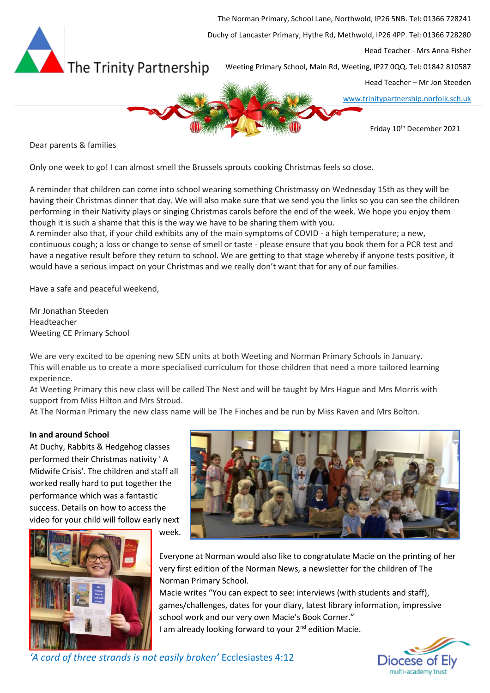

Dear parents & families

Only one week to go! I can almost smell the Brussels sprouts cooking Christmas feels so close.

A reminder that children can come into school wearing something Christmassy on Wednesday 15th as they will be having their Christmas dinner that day. We will also make sure that we send you the links so you can see the children performing in their Nativity plays or singing Christmas carols before the end of the week. We hope you enjoy them though it is such a shame that this is the way we have to be sharing them with you.

A reminder also that, if your child exhibits any of the main symptoms of COVID - a high temperature; a new, continuous cough; a loss or change to sense of smell or taste - please ensure that you book them for a PCR test and have a negative result before they return to school. We are getting to that stage whereby if anyone tests positive, it would have a serious impact on your Christmas and we really don't want that for any of our families.

Have a safe and peaceful weekend,

Mr Jonathan Steeden Headteacher Weeting CE Primary School

We are very excited to be opening new SEN units at both Weeting and Norman Primary Schools in January. This will enable us to create a more specialised curriculum for those children that need a more tailored learning experience.

At Weeting Primary this new class will be called The Nest and will be taught by Mrs Hague and Mrs Morris with support from Miss Hilton and Mrs Stroud.

At The Norman Primary the new class name will be The Finches and be run by Miss Raven and Mrs Bolton.

## **In and around School**

At Duchy, Rabbits & Hedgehog classes performed their Christmas nativity ' A Midwife Crisis'. The children and staff all worked really hard to put together the performance which was a fantastic success. Details on how to access the video for your child will follow early next





Everyone at Norman would also like to congratulate Macie on the printing of her very first edition of the Norman News, a newsletter for the children of The Norman Primary School.

Macie writes "You can expect to see: interviews (with students and staff), games/challenges, dates for your diary, latest library information, impressive school work and our very own Macie's Book Corner." I am already looking forward to your 2<sup>nd</sup> edition Macie.

> Diocese of Elv multi-academy trust

# *'A cord of three strands is not easily broken'* Ecclesiastes 4:12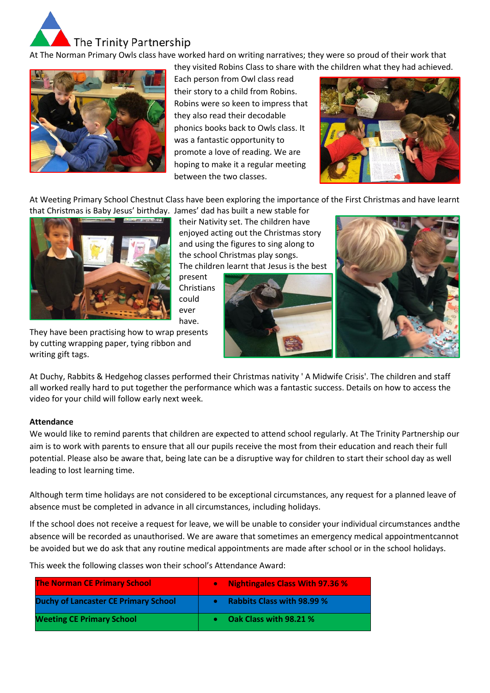

At The Norman Primary Owls class have worked hard on writing narratives; they were so proud of their work that



they visited Robins Class to share with the children what they had achieved. Each person from Owl class read their story to a child from Robins. Robins were so keen to impress that they also read their decodable phonics books back to Owls class. It was a fantastic opportunity to promote a love of reading. We are hoping to make it a regular meeting between the two classes.



At Weeting Primary School Chestnut Class have been exploring the importance of the First Christmas and have learnt that Christmas is Baby Jesus' birthday. James' dad has built a new stable for



their Nativity set. The children have enjoyed acting out the Christmas story and using the figures to sing along to the school Christmas play songs. The children learnt that Jesus is the best

present Christians could ever have.





They have been practising how to wrap presents by cutting wrapping paper, tying ribbon and writing gift tags.

At Duchy, Rabbits & Hedgehog classes performed their Christmas nativity ' A Midwife Crisis'. The children and staff all worked really hard to put together the performance which was a fantastic success. Details on how to access the video for your child will follow early next week.

## **Attendance**

We would like to remind parents that children are expected to attend school regularly. At The Trinity Partnership our aim is to work with parents to ensure that all our pupils receive the most from their education and reach their full potential. Please also be aware that, being late can be a disruptive way for children to start their school day as well leading to lost learning time.

Although term time holidays are not considered to be exceptional circumstances, any request for a planned leave of absence must be completed in advance in all circumstances, including holidays.

If the school does not receive a request for leave, we will be unable to consider your individual circumstances andthe absence will be recorded as unauthorised. We are aware that sometimes an emergency medical appointmentcannot be avoided but we do ask that any routine medical appointments are made after school or in the school holidays.

This week the following classes won their school's Attendance Award:

| <b>The Norman CE Primary School</b>         | <b>Nightingales Class With 97.36 %</b><br>$\bullet$ |
|---------------------------------------------|-----------------------------------------------------|
| <b>Duchy of Lancaster CE Primary School</b> | <b>Rabbits Class with 98.99 %</b>                   |
| <b>Weeting CE Primary School</b>            | Oak Class with 98.21 %                              |